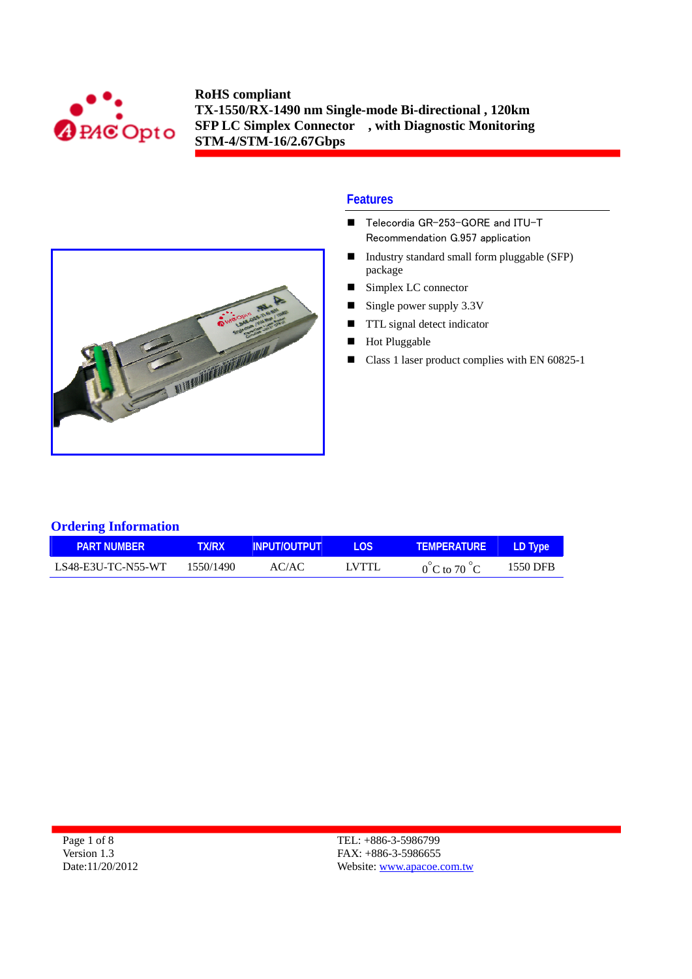



#### **Features**

- Telecordia GR-253-GORE and ITU-T Recommendation G.957 application
- Industry standard small form pluggable (SFP) package
- Simplex LC connector
- Single power supply  $3.3V$
- **TTL** signal detect indicator
- **Hot Pluggable**
- Class 1 laser product complies with EN 60825-1

## **Ordering Information**

| <b>PART NUMBER</b> | <b>TX/RX</b> | <b>INPUT/OUTPUT</b> | LOS.  | <b>TEMPERATURE</b>               | LD Type  |
|--------------------|--------------|---------------------|-------|----------------------------------|----------|
| LS48-E3U-TC-N55-WT | 1550/1490    | AC/AC-              | LVTTL | $0^{\circ}$ C to 70 $^{\circ}$ C | 1550 DFB |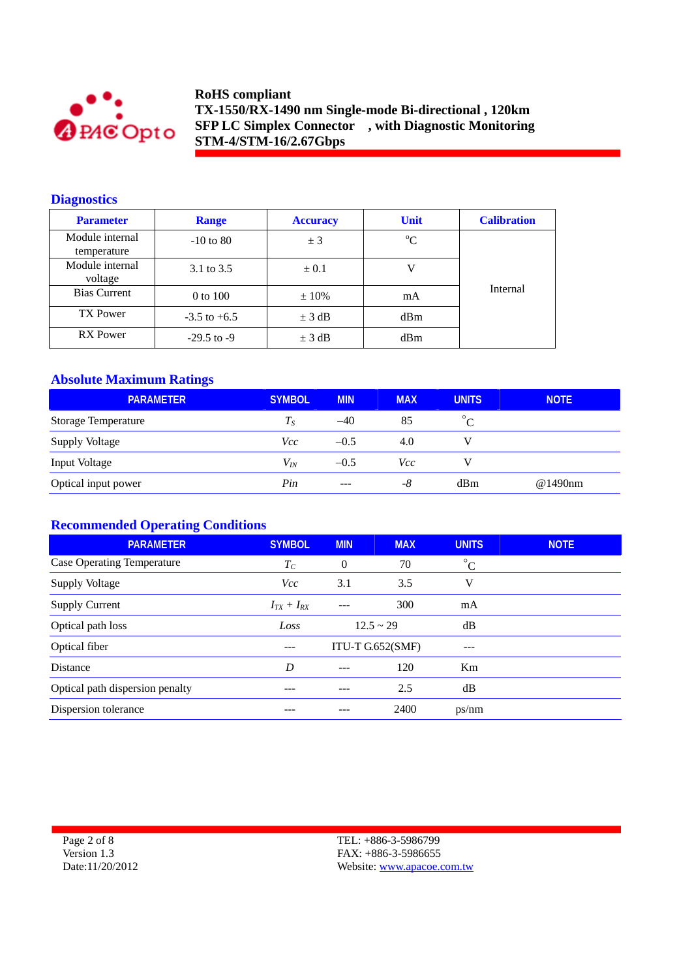

## **Diagnostics**

| <b>Parameter</b>               | <b>Range</b>     | <b>Unit</b><br><b>Accuracy</b> |             | <b>Calibration</b> |
|--------------------------------|------------------|--------------------------------|-------------|--------------------|
| Module internal<br>temperature | $-10$ to 80      | ± 3                            | $\rm ^{o}C$ |                    |
| Module internal<br>voltage     | 3.1 to 3.5       | $\pm 0.1$                      |             |                    |
| <b>Bias Current</b>            | 0 to 100         | $\pm 10\%$                     | mA          | Internal           |
| <b>TX Power</b>                | $-3.5$ to $+6.5$ | $\pm$ 3 dB                     | dBm         |                    |
| RX Power                       | $-29.5$ to $-9$  | $\pm$ 3 dB                     | dBm         |                    |

## **Absolute Maximum Ratings**

| <b>PARAMETER</b>           | <b>SYMBOL</b> | <b>MIN</b>    | <b>MAX</b> | <b>UNITS</b> | <b>NOTE</b> |
|----------------------------|---------------|---------------|------------|--------------|-------------|
| <b>Storage Temperature</b> | $T_S$         | $-40$         | 85         | $\circ$      |             |
| Supply Voltage             | Vcc           | $-0.5$        | 4.0        |              |             |
| Input Voltage              | $V_{I\!N}$    | $-0.5$        | Vcc        |              |             |
| Optical input power        | Pin           | $\frac{1}{2}$ | -8         | dBm          | @1490nm     |

## **Recommended Operating Conditions**

| <b>PARAMETER</b>                  | <b>SYMBOL</b>     | <b>MIN</b> | <b>MAX</b>       | <b>UNITS</b> | <b>NOTE</b> |
|-----------------------------------|-------------------|------------|------------------|--------------|-------------|
| <b>Case Operating Temperature</b> | $T_C$             | $\theta$   | 70               | $^{\circ}C$  |             |
| Supply Voltage                    | <i>Vcc</i>        | 3.1        | 3.5              | V            |             |
| <b>Supply Current</b>             | $I_{TX} + I_{RX}$ | ---        | 300              | mA           |             |
| Optical path loss                 | Loss              |            | $12.5 \sim 29$   | dB           |             |
| Optical fiber                     | ---               |            | ITU-T G.652(SMF) |              |             |
| <b>Distance</b>                   | D                 |            | 120              | Km           |             |
| Optical path dispersion penalty   |                   |            | 2.5              | dB           |             |
| Dispersion tolerance              | ---               |            | 2400             | ps/nm        |             |

Page 2 of 8 Version 1.3 Date:11/20/2012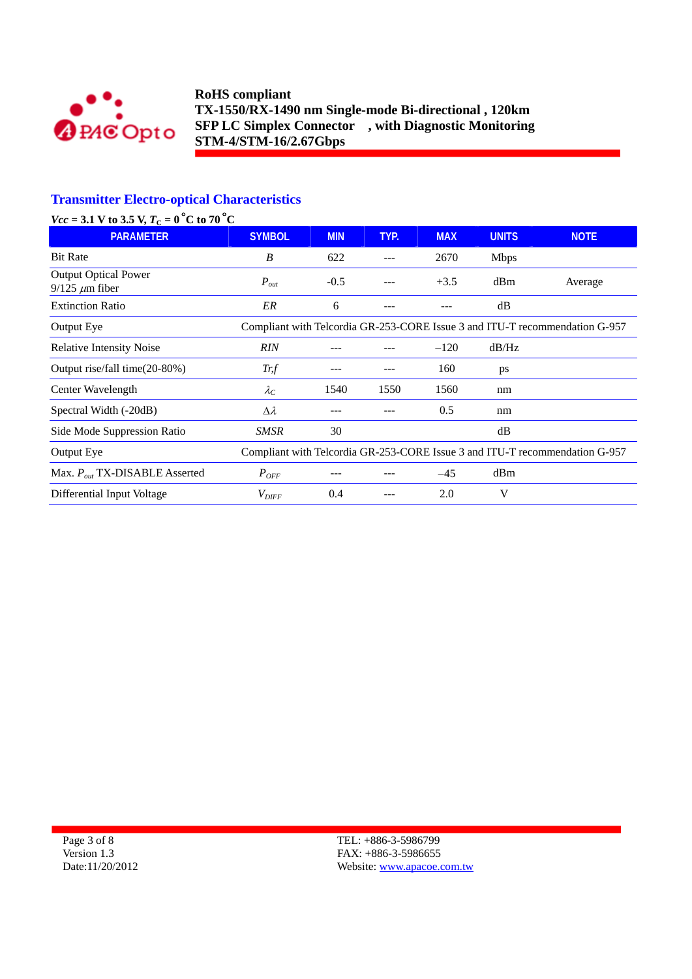

# **Transmitter Electro-optical Characteristics**

| $Vcc = 3.1$ V to 3.5 V, $T_C = 0$ °C to 70 °C |  |
|-----------------------------------------------|--|
|-----------------------------------------------|--|

| <b>PARAMETER</b>                                     | <b>SYMBOL</b>       | <b>MIN</b> | TYP. | <b>MAX</b> | <b>UNITS</b> | <b>NOTE</b>                                                                 |
|------------------------------------------------------|---------------------|------------|------|------------|--------------|-----------------------------------------------------------------------------|
| <b>Bit Rate</b>                                      | B                   | 622        |      | 2670       | <b>Mbps</b>  |                                                                             |
| <b>Output Optical Power</b><br>$9/125 \ \mu m$ fiber | $P_{out}$           | $-0.5$     |      | $+3.5$     | dBm          | Average                                                                     |
| <b>Extinction Ratio</b>                              | ER                  | 6          |      | ---        | dB           |                                                                             |
| Output Eye                                           |                     |            |      |            |              | Compliant with Telcordia GR-253-CORE Issue 3 and ITU-T recommendation G-957 |
| <b>Relative Intensity Noise</b>                      | <b>RIN</b>          |            |      | $-120$     | dB/Hz        |                                                                             |
| Output rise/fall time(20-80%)                        | Tr f                | ---        |      | 160        | ps           |                                                                             |
| Center Wavelength                                    | $\lambda_C$         | 1540       | 1550 | 1560       | nm           |                                                                             |
| Spectral Width (-20dB)                               | $\Delta \lambda$    | --         |      | 0.5        | nm           |                                                                             |
| Side Mode Suppression Ratio                          | SMSR                | 30         |      |            | dB           |                                                                             |
| Output Eye                                           |                     |            |      |            |              | Compliant with Telcordia GR-253-CORE Issue 3 and ITU-T recommendation G-957 |
| Max. $P_{out}$ TX-DISABLE Asserted                   | $P_{OFF}$           |            |      | $-45$      | dBm          |                                                                             |
| Differential Input Voltage                           | $V_{\mathit{DIFF}}$ | 0.4        |      | 2.0        | V            |                                                                             |

Page 3 of 8 Version 1.3 Date:11/20/2012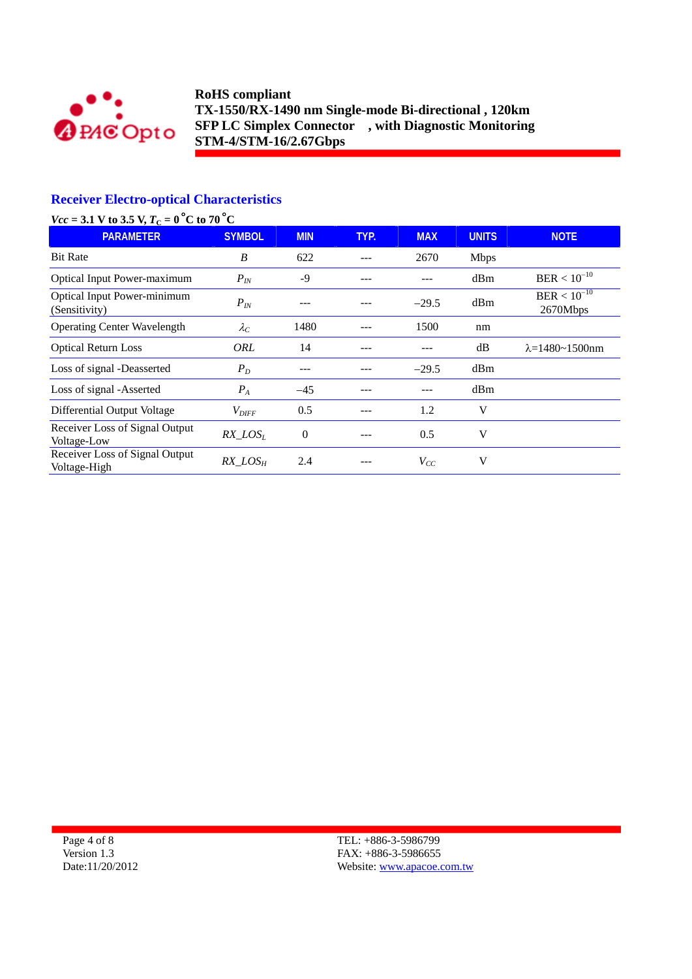

# **Receiver Electro-optical Characteristics**

| $Vcc = 3.1$ V to 3.5 V, $T_C = 0$ °C to 70 °C       |                   |                |      |            |              |                              |
|-----------------------------------------------------|-------------------|----------------|------|------------|--------------|------------------------------|
| <b>PARAMETER</b>                                    | <b>SYMBOL</b>     | <b>MIN</b>     | TYP. | <b>MAX</b> | <b>UNITS</b> | <b>NOTE</b>                  |
| <b>Bit Rate</b>                                     | B                 | 622            |      | 2670       | <b>Mbps</b>  |                              |
| <b>Optical Input Power-maximum</b>                  | $P_{IN}$          | $-9$           |      |            | dBm          | $BER < 10^{-10}$             |
| <b>Optical Input Power-minimum</b><br>(Sensitivity) | $P_{IN}$          |                |      | $-29.5$    | dBm          | $BER < 10^{-10}$<br>2670Mbps |
| <b>Operating Center Wavelength</b>                  | $\lambda_C$       | 1480           |      | 1500       | nm           |                              |
| <b>Optical Return Loss</b>                          | ORL               | 14             |      |            | dB           | $\lambda = 1480 - 1500$ nm   |
| Loss of signal -Deasserted                          | $P_D$             |                |      | $-29.5$    | dBm          |                              |
| Loss of signal -Asserted                            | $P_{A}$           | $-45$          |      |            | dBm          |                              |
| Differential Output Voltage                         | $V_{\text{DIFF}}$ | 0.5            |      | 1.2        | V            |                              |
| Receiver Loss of Signal Output<br>Voltage-Low       | $RX\_LOS_L$       | $\overline{0}$ |      | 0.5        | V            |                              |
| Receiver Loss of Signal Output<br>Voltage-High      | $RX\_LOS_H$       | 2.4            |      | $V_{CC}$   | V            |                              |

Page 4 of 8 Version 1.3 Date:11/20/2012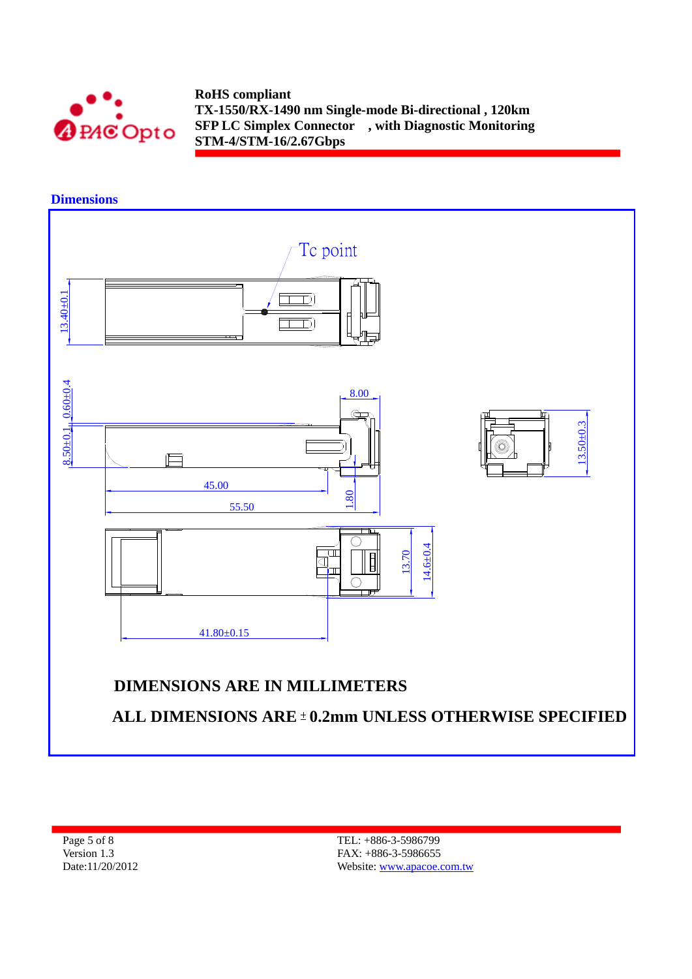

**Dimensions** 

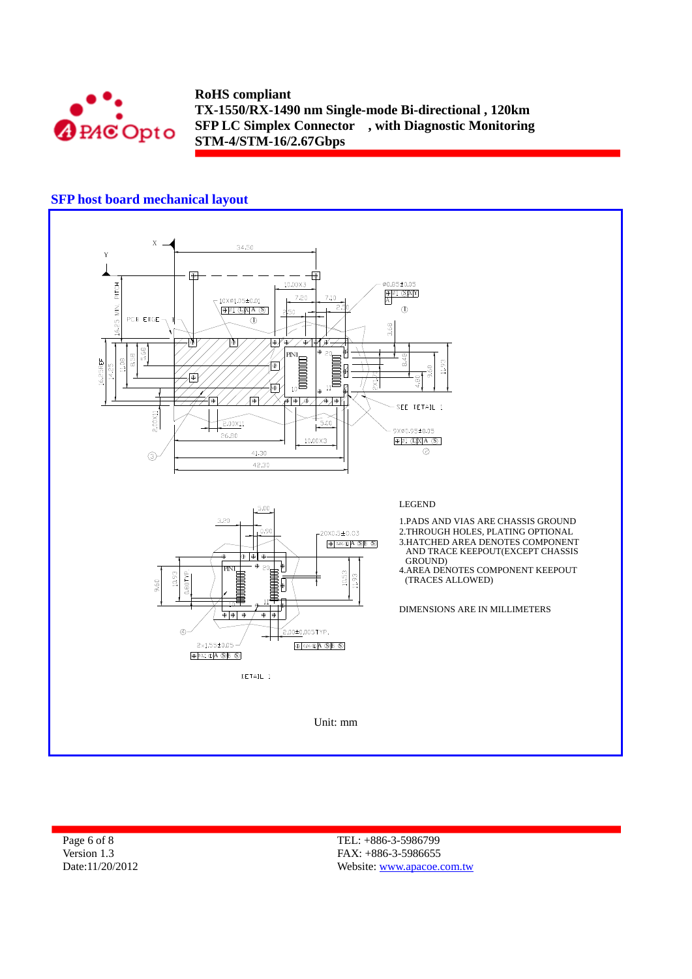

## **SFP host board mechanical layout**



Page 6 of 8 Version 1.3 Date:11/20/2012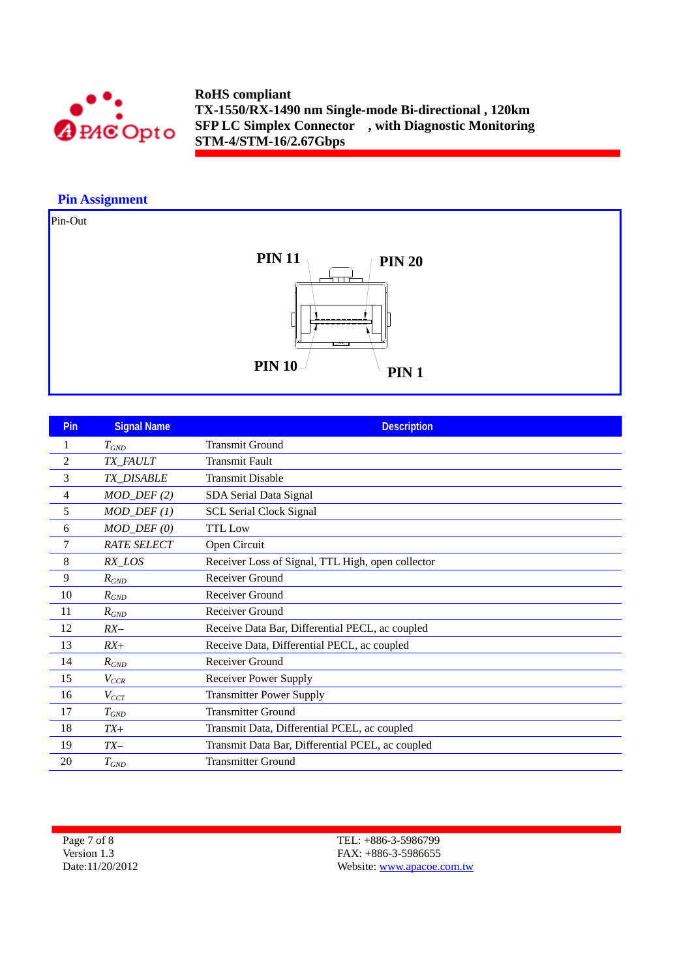

## **Pin Assignment**

Pin-Out



| <b>Pin</b>     | <b>Signal Name</b>      | <b>Description</b>                                |
|----------------|-------------------------|---------------------------------------------------|
|                | $T_{GND}$               | <b>Transmit Ground</b>                            |
| $\overline{c}$ | TX_FAULT                | <b>Transmit Fault</b>                             |
| 3              | TX_DISABLE              | <b>Transmit Disable</b>                           |
| 4              | $MOD_$ <i>DEF</i> $(2)$ | SDA Serial Data Signal                            |
| 5              | $MOD_$ <i>DEF</i> $(1)$ | <b>SCL Serial Clock Signal</b>                    |
| 6              | $MOD_$ <i>DEF</i> $(0)$ | <b>TTL</b> Low                                    |
| 7              | <b>RATE SELECT</b>      | Open Circuit                                      |
| 8              | RX_LOS                  | Receiver Loss of Signal, TTL High, open collector |
| 9              | $R_{GND}$               | Receiver Ground                                   |
| 10             | $R_{GND}$               | Receiver Ground                                   |
| 11             | $R_{GND}$               | Receiver Ground                                   |
| 12             | $RX-$                   | Receive Data Bar, Differential PECL, ac coupled   |
| 13             | $RX+$                   | Receive Data, Differential PECL, ac coupled       |
| 14             | $R_{GND}$               | Receiver Ground                                   |
| 15             | $V_{CCR}$               | <b>Receiver Power Supply</b>                      |
| 16             | $V_{CCT}$               | <b>Transmitter Power Supply</b>                   |
| 17             | $T_{GND}$               | <b>Transmitter Ground</b>                         |
| 18             | $TX+$                   | Transmit Data, Differential PCEL, ac coupled      |
| 19             | $TX-$                   | Transmit Data Bar, Differential PCEL, ac coupled  |
| 20             | $T_{GND}$               | <b>Transmitter Ground</b>                         |

Page 7 of 8 Version 1.3 Date:11/20/2012